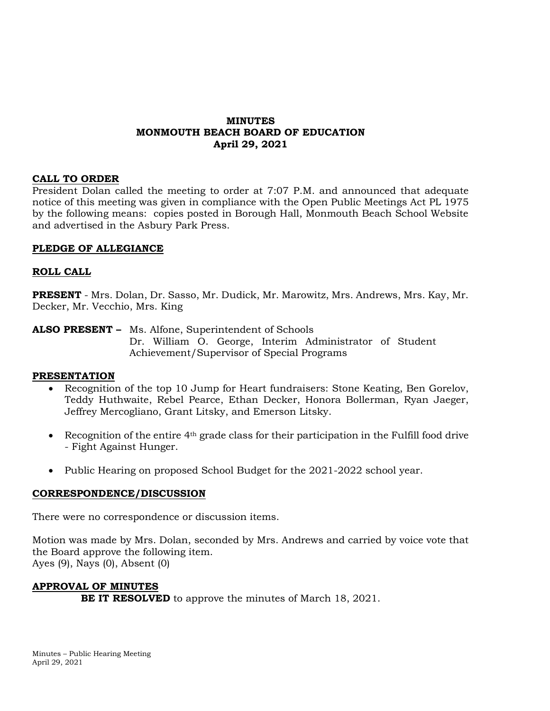## **MINUTES MONMOUTH BEACH BOARD OF EDUCATION April 29, 2021**

#### **CALL TO ORDER**

President Dolan called the meeting to order at 7:07 P.M. and announced that adequate notice of this meeting was given in compliance with the Open Public Meetings Act PL 1975 by the following means: copies posted in Borough Hall, Monmouth Beach School Website and advertised in the Asbury Park Press.

## **PLEDGE OF ALLEGIANCE**

## **ROLL CALL**

**PRESENT** - Mrs. Dolan, Dr. Sasso, Mr. Dudick, Mr. Marowitz, Mrs. Andrews, Mrs. Kay, Mr. Decker, Mr. Vecchio, Mrs. King

**ALSO PRESENT –** Ms. Alfone, Superintendent of Schools Dr. William O. George, Interim Administrator of Student Achievement/Supervisor of Special Programs

#### **PRESENTATION**

- Recognition of the top 10 Jump for Heart fundraisers: Stone Keating, Ben Gorelov, Teddy Huthwaite, Rebel Pearce, Ethan Decker, Honora Bollerman, Ryan Jaeger, Jeffrey Mercogliano, Grant Litsky, and Emerson Litsky.
- Recognition of the entire 4th grade class for their participation in the Fulfill food drive - Fight Against Hunger.
- Public Hearing on proposed School Budget for the 2021-2022 school year.

#### **CORRESPONDENCE/DISCUSSION**

There were no correspondence or discussion items.

Motion was made by Mrs. Dolan, seconded by Mrs. Andrews and carried by voice vote that the Board approve the following item. Ayes (9), Nays (0), Absent (0)

#### **APPROVAL OF MINUTES**

**BE IT RESOLVED** to approve the minutes of March 18, 2021.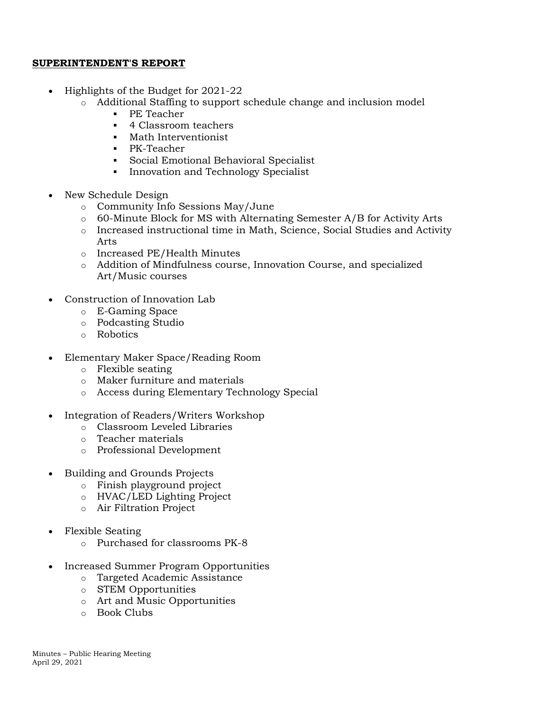## **SUPERINTENDENT'S REPORT**

- Highlights of the Budget for 2021-22
	- o Additional Staffing to support schedule change and inclusion model
		- PE Teacher
		- 4 Classroom teachers
		- Math Interventionist
		- PK-Teacher
		- Social Emotional Behavioral Specialist
		- **Innovation and Technology Specialist**
- New Schedule Design
	- o Community Info Sessions May/June
	- o 60-Minute Block for MS with Alternating Semester A/B for Activity Arts
	- o Increased instructional time in Math, Science, Social Studies and Activity Arts
	- o Increased PE/Health Minutes
	- o Addition of Mindfulness course, Innovation Course, and specialized Art/Music courses
- Construction of Innovation Lab
	- o E-Gaming Space
	- o Podcasting Studio
	- o Robotics
- Elementary Maker Space/Reading Room
	- o Flexible seating
	- o Maker furniture and materials
	- o Access during Elementary Technology Special
- Integration of Readers/Writers Workshop
	- o Classroom Leveled Libraries
	- o Teacher materials
	- o Professional Development
- Building and Grounds Projects
	- o Finish playground project
	- o HVAC/LED Lighting Project
	- o Air Filtration Project
- Flexible Seating
	- o Purchased for classrooms PK-8
- Increased Summer Program Opportunities
	- o Targeted Academic Assistance
	- o STEM Opportunities
	- o Art and Music Opportunities
	- o Book Clubs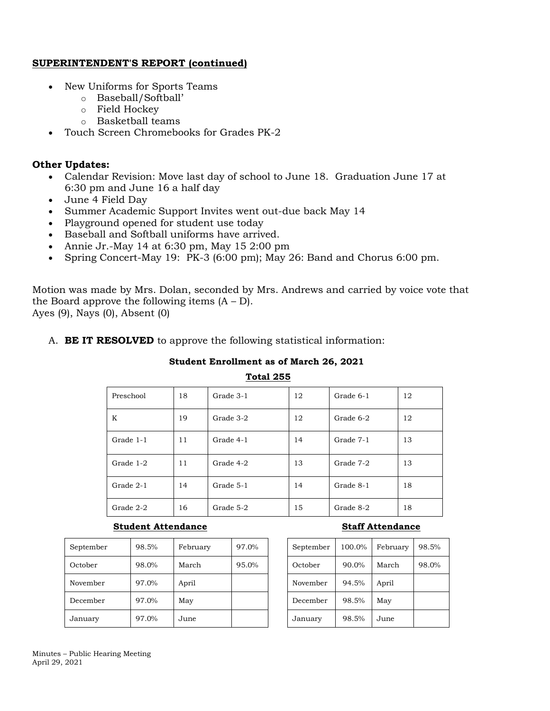# **SUPERINTENDENT'S REPORT (continued)**

- New Uniforms for Sports Teams
	- o Baseball/Softball'
	- o Field Hockey
	- o Basketball teams
- Touch Screen Chromebooks for Grades PK-2

## **Other Updates:**

- Calendar Revision: Move last day of school to June 18. Graduation June 17 at 6:30 pm and June 16 a half day
- June 4 Field Day
- Summer Academic Support Invites went out-due back May 14
- Playground opened for student use today
- Baseball and Softball uniforms have arrived.
- Annie Jr.-May 14 at  $6:30$  pm, May 15  $2:00$  pm
- Spring Concert-May 19: PK-3 (6:00 pm); May 26: Band and Chorus 6:00 pm.

Motion was made by Mrs. Dolan, seconded by Mrs. Andrews and carried by voice vote that the Board approve the following items  $(A - D)$ . Ayes (9), Nays (0), Absent (0)

A. **BE IT RESOLVED** to approve the following statistical information:

#### **Student Enrollment as of March 26, 2021**

#### **Total 255**

| Preschool | 18 | Grade 3-1 | 12 | Grade 6-1 | 12 |
|-----------|----|-----------|----|-----------|----|
| K         | 19 | Grade 3-2 | 12 | Grade 6-2 | 12 |
| Grade 1-1 | 11 | Grade 4-1 | 14 | Grade 7-1 | 13 |
| Grade 1-2 | 11 | Grade 4-2 | 13 | Grade 7-2 | 13 |
| Grade 2-1 | 14 | Grade 5-1 | 14 | Grade 8-1 | 18 |
| Grade 2-2 | 16 | Grade 5-2 | 15 | Grade 8-2 | 18 |

#### **Student Attendance Staff Attendance**

| September | 98.5% | February | 97.0% |
|-----------|-------|----------|-------|
| October   | 98.0% | March    | 95.0% |
| November  | 97.0% | April    |       |
| December  | 97.0% | May      |       |
| January   | 97.0% | June     |       |

| September | 100.0% | February | 98.5% |
|-----------|--------|----------|-------|
| October   | 90.0%  | March    | 98.0% |
| November  | 94.5%  | April    |       |
| December  | 98.5%  | May      |       |
| January   | 98.5%  | June     |       |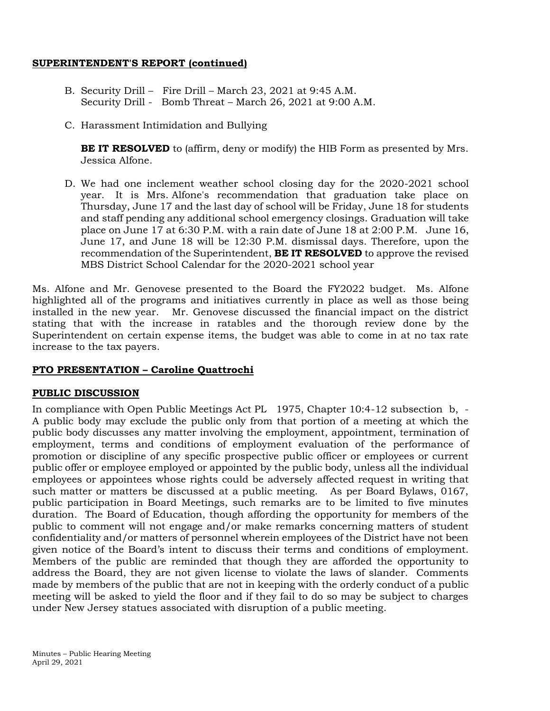## **SUPERINTENDENT'S REPORT (continued)**

- B. Security Drill Fire Drill March 23, 2021 at 9:45 A.M. Security Drill - Bomb Threat – March 26, 2021 at 9:00 A.M.
- C. Harassment Intimidation and Bullying

**BE IT RESOLVED** to (affirm, deny or modify) the HIB Form as presented by Mrs. Jessica Alfone.

D. We had one inclement weather school closing day for the 2020-2021 school year. It is Mrs. Alfone's recommendation that graduation take place on Thursday, June 17 and the last day of school will be Friday, June 18 for students and staff pending any additional school emergency closings. Graduation will take place on June 17 at 6:30 P.M. with a rain date of June 18 at 2:00 P.M. June 16, June 17, and June 18 will be 12:30 P.M. dismissal days. Therefore, upon the recommendation of the Superintendent, **BE IT RESOLVED** to approve the revised MBS District School Calendar for the 2020-2021 school year

Ms. Alfone and Mr. Genovese presented to the Board the FY2022 budget. Ms. Alfone highlighted all of the programs and initiatives currently in place as well as those being installed in the new year. Mr. Genovese discussed the financial impact on the district stating that with the increase in ratables and the thorough review done by the Superintendent on certain expense items, the budget was able to come in at no tax rate increase to the tax payers.

# **PTO PRESENTATION – Caroline Quattrochi**

#### **PUBLIC DISCUSSION**

In compliance with Open Public Meetings Act PL 1975, Chapter 10:4-12 subsection b, - A public body may exclude the public only from that portion of a meeting at which the public body discusses any matter involving the employment, appointment, termination of employment, terms and conditions of employment evaluation of the performance of promotion or discipline of any specific prospective public officer or employees or current public offer or employee employed or appointed by the public body, unless all the individual employees or appointees whose rights could be adversely affected request in writing that such matter or matters be discussed at a public meeting. As per Board Bylaws, 0167, public participation in Board Meetings, such remarks are to be limited to five minutes duration. The Board of Education, though affording the opportunity for members of the public to comment will not engage and/or make remarks concerning matters of student confidentiality and/or matters of personnel wherein employees of the District have not been given notice of the Board's intent to discuss their terms and conditions of employment. Members of the public are reminded that though they are afforded the opportunity to address the Board, they are not given license to violate the laws of slander. Comments made by members of the public that are not in keeping with the orderly conduct of a public meeting will be asked to yield the floor and if they fail to do so may be subject to charges under New Jersey statues associated with disruption of a public meeting.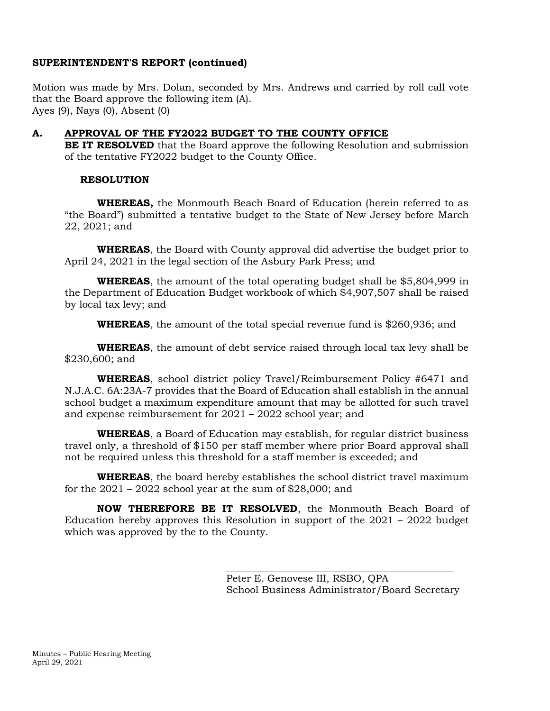## **SUPERINTENDENT'S REPORT (continued)**

Motion was made by Mrs. Dolan, seconded by Mrs. Andrews and carried by roll call vote that the Board approve the following item (A). Ayes (9), Nays (0), Absent (0)

# **A. APPROVAL OF THE FY2022 BUDGET TO THE COUNTY OFFICE**

**BE IT RESOLVED** that the Board approve the following Resolution and submission of the tentative FY2022 budget to the County Office.

## **RESOLUTION**

**WHEREAS,** the Monmouth Beach Board of Education (herein referred to as "the Board") submitted a tentative budget to the State of New Jersey before March 22, 2021; and

**WHEREAS**, the Board with County approval did advertise the budget prior to April 24, 2021 in the legal section of the Asbury Park Press; and

**WHEREAS**, the amount of the total operating budget shall be \$5,804,999 in the Department of Education Budget workbook of which \$4,907,507 shall be raised by local tax levy; and

**WHEREAS**, the amount of the total special revenue fund is \$260,936; and

**WHEREAS**, the amount of debt service raised through local tax levy shall be \$230,600; and

**WHEREAS**, school district policy Travel/Reimbursement Policy #6471 and N.J.A.C. 6A:23A-7 provides that the Board of Education shall establish in the annual school budget a maximum expenditure amount that may be allotted for such travel and expense reimbursement for 2021 – 2022 school year; and

**WHEREAS**, a Board of Education may establish, for regular district business travel only, a threshold of \$150 per staff member where prior Board approval shall not be required unless this threshold for a staff member is exceeded; and

**WHEREAS**, the board hereby establishes the school district travel maximum for the  $2021 - 2022$  school year at the sum of \$28,000; and

**NOW THEREFORE BE IT RESOLVED**, the Monmouth Beach Board of Education hereby approves this Resolution in support of the  $2021 - 2022$  budget which was approved by the to the County.

> Peter E. Genovese III, RSBO, QPA School Business Administrator/Board Secretary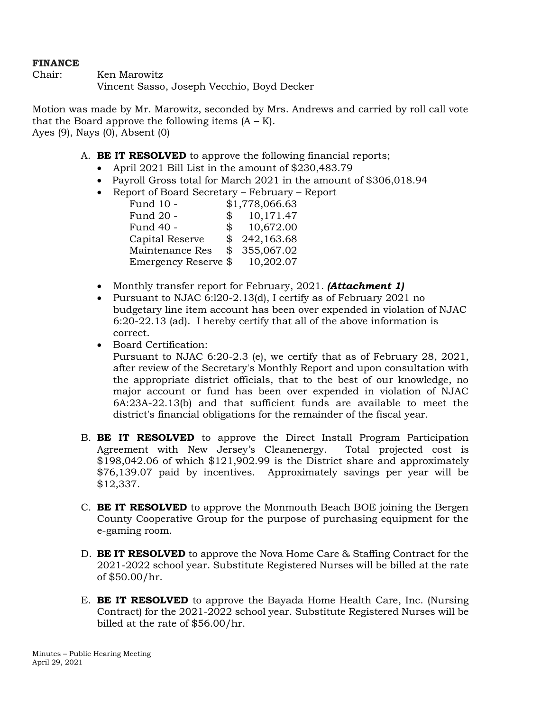## **FINANCE**

Chair: Ken Marowitz Vincent Sasso, Joseph Vecchio, Boyd Decker

Motion was made by Mr. Marowitz, seconded by Mrs. Andrews and carried by roll call vote that the Board approve the following items  $(A - K)$ . Ayes (9), Nays (0), Absent (0)

- A. **BE IT RESOLVED** to approve the following financial reports;
	- April 2021 Bill List in the amount of \$230,483.79
	- Payroll Gross total for March 2021 in the amount of \$306,018.94
	- Report of Board Secretary February Report

| Fund 10 -            | \$1,778,066.63   |
|----------------------|------------------|
| Fund 20 -            | \$<br>10,171.47  |
| Fund 40 -            | \$<br>10,672.00  |
| Capital Reserve      | \$242,163.68     |
| Maintenance Res      | \$<br>355,067.02 |
| Emergency Reserve \$ | 10,202.07        |

- Monthly transfer report for February, 2021. *(Attachment 1)*
- Pursuant to NJAC 6:l20-2.13(d), I certify as of February 2021 no budgetary line item account has been over expended in violation of NJAC 6:20-22.13 (ad). I hereby certify that all of the above information is correct.
- Board Certification:

Pursuant to NJAC 6:20-2.3 (e), we certify that as of February 28, 2021, after review of the Secretary's Monthly Report and upon consultation with the appropriate district officials, that to the best of our knowledge, no major account or fund has been over expended in violation of NJAC 6A:23A-22.13(b) and that sufficient funds are available to meet the district's financial obligations for the remainder of the fiscal year.

- B. **BE IT RESOLVED** to approve the Direct Install Program Participation Agreement with New Jersey's Cleanenergy. Total projected cost is \$198,042.06 of which \$121,902.99 is the District share and approximately \$76,139.07 paid by incentives. Approximately savings per year will be \$12,337.
- C. **BE IT RESOLVED** to approve the Monmouth Beach BOE joining the Bergen County Cooperative Group for the purpose of purchasing equipment for the e-gaming room.
- D. **BE IT RESOLVED** to approve the Nova Home Care & Staffing Contract for the 2021-2022 school year. Substitute Registered Nurses will be billed at the rate of \$50.00/hr.
- E. **BE IT RESOLVED** to approve the Bayada Home Health Care, Inc. (Nursing Contract) for the 2021-2022 school year. Substitute Registered Nurses will be billed at the rate of \$56.00/hr.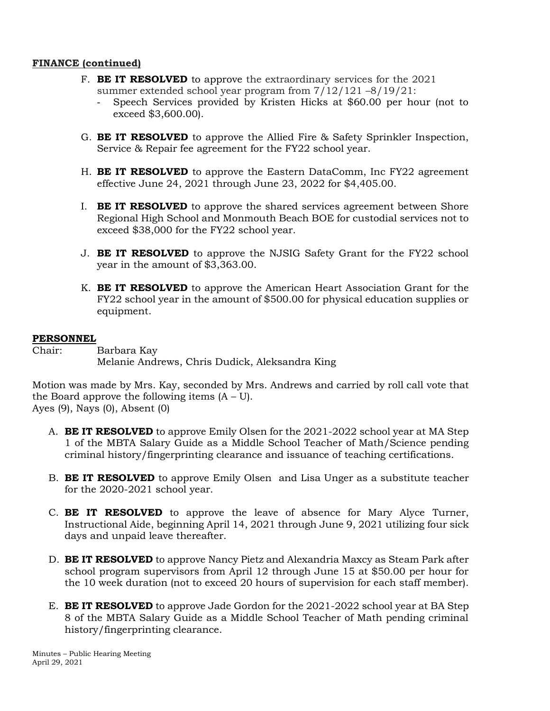## **FINANCE (continued)**

- F. **BE IT RESOLVED** to approve the extraordinary services for the 2021 summer extended school year program from 7/12/121 –8/19/21:
	- Speech Services provided by Kristen Hicks at \$60.00 per hour (not to exceed \$3,600.00).
- G. **BE IT RESOLVED** to approve the Allied Fire & Safety Sprinkler Inspection, Service & Repair fee agreement for the FY22 school year.
- H. **BE IT RESOLVED** to approve the Eastern DataComm, Inc FY22 agreement effective June 24, 2021 through June 23, 2022 for \$4,405.00.
- I. **BE IT RESOLVED** to approve the shared services agreement between Shore Regional High School and Monmouth Beach BOE for custodial services not to exceed \$38,000 for the FY22 school year.
- J. **BE IT RESOLVED** to approve the NJSIG Safety Grant for the FY22 school year in the amount of \$3,363.00.
- K. **BE IT RESOLVED** to approve the American Heart Association Grant for the FY22 school year in the amount of \$500.00 for physical education supplies or equipment.

#### **PERSONNEL**

Chair: Barbara Kay Melanie Andrews, Chris Dudick, Aleksandra King

Motion was made by Mrs. Kay, seconded by Mrs. Andrews and carried by roll call vote that the Board approve the following items  $(A – U)$ . Ayes (9), Nays (0), Absent (0)

- A. **BE IT RESOLVED** to approve Emily Olsen for the 2021-2022 school year at MA Step 1 of the MBTA Salary Guide as a Middle School Teacher of Math/Science pending criminal history/fingerprinting clearance and issuance of teaching certifications.
- B. **BE IT RESOLVED** to approve Emily Olsen and Lisa Unger as a substitute teacher for the 2020-2021 school year.
- C. **BE IT RESOLVED** to approve the leave of absence for Mary Alyce Turner, Instructional Aide, beginning April 14, 2021 through June 9, 2021 utilizing four sick days and unpaid leave thereafter.
- D. **BE IT RESOLVED** to approve Nancy Pietz and Alexandria Maxcy as Steam Park after school program supervisors from April 12 through June 15 at \$50.00 per hour for the 10 week duration (not to exceed 20 hours of supervision for each staff member).
- E. **BE IT RESOLVED** to approve Jade Gordon for the 2021-2022 school year at BA Step 8 of the MBTA Salary Guide as a Middle School Teacher of Math pending criminal history/fingerprinting clearance.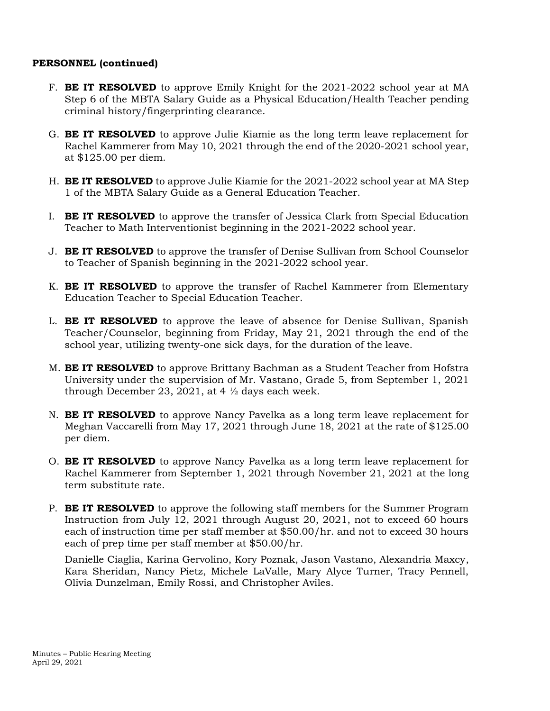- F. **BE IT RESOLVED** to approve Emily Knight for the 2021-2022 school year at MA Step 6 of the MBTA Salary Guide as a Physical Education/Health Teacher pending criminal history/fingerprinting clearance.
- G. **BE IT RESOLVED** to approve Julie Kiamie as the long term leave replacement for Rachel Kammerer from May 10, 2021 through the end of the 2020-2021 school year, at \$125.00 per diem.
- H. **BE IT RESOLVED** to approve Julie Kiamie for the 2021-2022 school year at MA Step 1 of the MBTA Salary Guide as a General Education Teacher.
- I. **BE IT RESOLVED** to approve the transfer of Jessica Clark from Special Education Teacher to Math Interventionist beginning in the 2021-2022 school year.
- J. **BE IT RESOLVED** to approve the transfer of Denise Sullivan from School Counselor to Teacher of Spanish beginning in the 2021-2022 school year.
- K. **BE IT RESOLVED** to approve the transfer of Rachel Kammerer from Elementary Education Teacher to Special Education Teacher.
- L. **BE IT RESOLVED** to approve the leave of absence for Denise Sullivan, Spanish Teacher/Counselor, beginning from Friday, May 21, 2021 through the end of the school year, utilizing twenty-one sick days, for the duration of the leave.
- M. **BE IT RESOLVED** to approve Brittany Bachman as a Student Teacher from Hofstra University under the supervision of Mr. Vastano, Grade 5, from September 1, 2021 through December 23, 2021, at 4 ½ days each week.
- N. **BE IT RESOLVED** to approve Nancy Pavelka as a long term leave replacement for Meghan Vaccarelli from May 17, 2021 through June 18, 2021 at the rate of \$125.00 per diem.
- O. **BE IT RESOLVED** to approve Nancy Pavelka as a long term leave replacement for Rachel Kammerer from September 1, 2021 through November 21, 2021 at the long term substitute rate.
- P. **BE IT RESOLVED** to approve the following staff members for the Summer Program Instruction from July 12, 2021 through August 20, 2021, not to exceed 60 hours each of instruction time per staff member at \$50.00/hr. and not to exceed 30 hours each of prep time per staff member at \$50.00/hr.

Danielle Ciaglia, Karina Gervolino, Kory Poznak, Jason Vastano, Alexandria Maxcy, Kara Sheridan, Nancy Pietz, Michele LaValle, Mary Alyce Turner, Tracy Pennell, Olivia Dunzelman, Emily Rossi, and Christopher Aviles.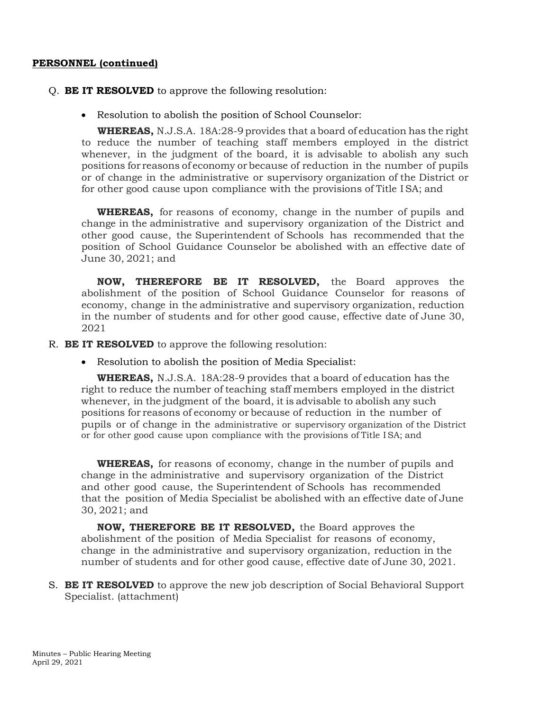- Q. **BE IT RESOLVED** to approve the following resolution:
	- Resolution to abolish the position of School Counselor:

**WHEREAS,** N.J.S.A. 18A:28-9 provides that aboard of education has the right to reduce the number of teaching staff members employed in the district whenever, in the judgment of the board, it is advisable to abolish any such positions for reasons of economy orbecause of reduction in the number of pupils or of change in the administrative or supervisory organization of the District or for other good cause upon compliance with the provisions of Title I SA; and

**WHEREAS,** for reasons of economy, change in the number of pupils and change in the administrative and supervisory organization of the District and other good cause, the Superintendent of Schools has recommended that the position of School Guidance Counselor be abolished with an effective date of June 30, 2021; and

**NOW, THEREFORE BE IT RESOLVED,** the Board approves the abolishment of the position of School Guidance Counselor for reasons of economy, change in the administrative and supervisory organization, reduction in the number of students and for other good cause, effective date of June 30, 2021

- R. **BE IT RESOLVED** to approve the following resolution:
	- Resolution to abolish the position of Media Specialist:

**WHEREAS,** N.J.S.A. 18A:28-9 provides that a board of education has the right to reduce the number of teaching staff members employed in the district whenever, in the judgment of the board, it is advisable to abolish any such positions for reasons of economy or because of reduction in the number of pupils or of change in the administrative or supervisory organization of the District or for other good cause upon compliance with the provisions of Title I SA; and

**WHEREAS,** for reasons of economy, change in the number of pupils and change in the administrative and supervisory organization of the District and other good cause, the Superintendent of Schools has recommended that the position of Media Specialist be abolished with an effective date of June 30, 2021; and

**NOW, THEREFORE BE IT RESOLVED,** the Board approves the abolishment of the position of Media Specialist for reasons of economy, change in the administrative and supervisory organization, reduction in the number of students and for other good cause, effective date of June 30, 2021.

S. **BE IT RESOLVED** to approve the new job description of Social Behavioral Support Specialist. (attachment)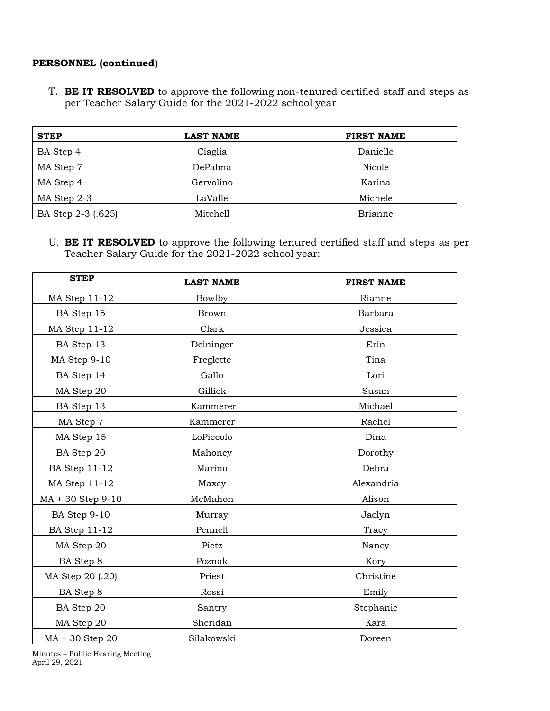T. **BE IT RESOLVED** to approve the following non-tenured certified staff and steps as per Teacher Salary Guide for the 2021-2022 school year

| <b>STEP</b><br><b>LAST NAME</b> |           | <b>FIRST NAME</b> |
|---------------------------------|-----------|-------------------|
| BA Step 4                       | Ciaglia   | Danielle          |
| MA Step 7                       | DePalma   | Nicole            |
| MA Step 4                       | Gervolino | Karina            |
| MA Step 2-3                     | LaValle   | Michele           |
| BA Step 2-3 (.625)              | Mitchell  | <b>Brianne</b>    |

U. **BE IT RESOLVED** to approve the following tenured certified staff and steps as per Teacher Salary Guide for the 2021-2022 school year:

| <b>STEP</b>          | <b>LAST NAME</b> | <b>FIRST NAME</b> |  |
|----------------------|------------------|-------------------|--|
| MA Step 11-12        | Bowlby           | Rianne            |  |
| BA Step 15           | <b>Brown</b>     | Barbara           |  |
| MA Step 11-12        | Clark            | Jessica           |  |
| BA Step 13           | Deininger        | Erin              |  |
| MA Step 9-10         | Freglette        | Tina              |  |
| BA Step 14           | Gallo            | Lori              |  |
| MA Step 20           | Gillick          | Susan             |  |
| BA Step 13           | Kammerer         | Michael           |  |
| MA Step 7            | Kammerer         | Rachel            |  |
| MA Step 15           | LoPiccolo        | Dina              |  |
| BA Step 20           | Mahoney          | Dorothy           |  |
| <b>BA Step 11-12</b> | Marino           | Debra             |  |
| MA Step 11-12        | Maxcy            | Alexandria        |  |
| MA + 30 Step 9-10    | McMahon          | Alison            |  |
| BA Step 9-10         | Murray           | Jaclyn            |  |
| <b>BA Step 11-12</b> | Pennell          | Tracy             |  |
| MA Step 20           | Pietz            | Nancy             |  |
| BA Step 8            | Poznak           | Kory              |  |
| MA Step 20 (.20)     | Priest           | Christine         |  |
| BA Step 8            | Rossi            | Emily             |  |
| BA Step 20           | Santry           | Stephanie         |  |
| MA Step 20           | Sheridan         | Kara              |  |
| MA + 30 Step 20      | Silakowski       | Doreen            |  |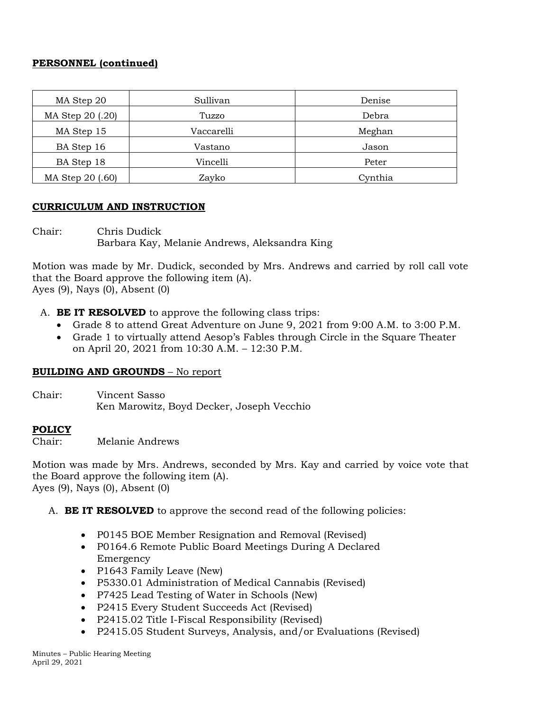| MA Step 20                | Sullivan   | Denise  |  |
|---------------------------|------------|---------|--|
| MA Step 20 (.20)          | Tuzzo      | Debra   |  |
| MA Step 15                | Vaccarelli | Meghan  |  |
| BA Step 16<br>Vastano     |            | Jason   |  |
| BA Step 18<br>Vincelli    |            | Peter   |  |
| MA Step 20 (.60)<br>Zayko |            | Cynthia |  |

## **CURRICULUM AND INSTRUCTION**

Chair: Chris Dudick Barbara Kay, Melanie Andrews, Aleksandra King

Motion was made by Mr. Dudick, seconded by Mrs. Andrews and carried by roll call vote that the Board approve the following item (A). Ayes (9), Nays (0), Absent (0)

- A. **BE IT RESOLVED** to approve the following class trips:
	- Grade 8 to attend Great Adventure on June 9, 2021 from 9:00 A.M. to 3:00 P.M.
	- Grade 1 to virtually attend Aesop's Fables through Circle in the Square Theater on April 20, 2021 from 10:30 A.M. – 12:30 P.M.

# **BUILDING AND GROUNDS** – No report

Chair: Vincent Sasso Ken Marowitz, Boyd Decker, Joseph Vecchio

#### **POLICY**

Chair: Melanie Andrews

Motion was made by Mrs. Andrews, seconded by Mrs. Kay and carried by voice vote that the Board approve the following item (A). Ayes (9), Nays (0), Absent (0)

- A. **BE IT RESOLVED** to approve the second read of the following policies:
	- P0145 BOE Member Resignation and Removal (Revised)
	- P0164.6 Remote Public Board Meetings During A Declared Emergency
	- P1643 Family Leave (New)
	- P5330.01 Administration of Medical Cannabis (Revised)
	- P7425 Lead Testing of Water in Schools (New)
	- P2415 Every Student Succeeds Act (Revised)
	- P2415.02 Title I-Fiscal Responsibility (Revised)
	- P2415.05 Student Surveys, Analysis, and/or Evaluations (Revised)

Minutes – Public Hearing Meeting April 29, 2021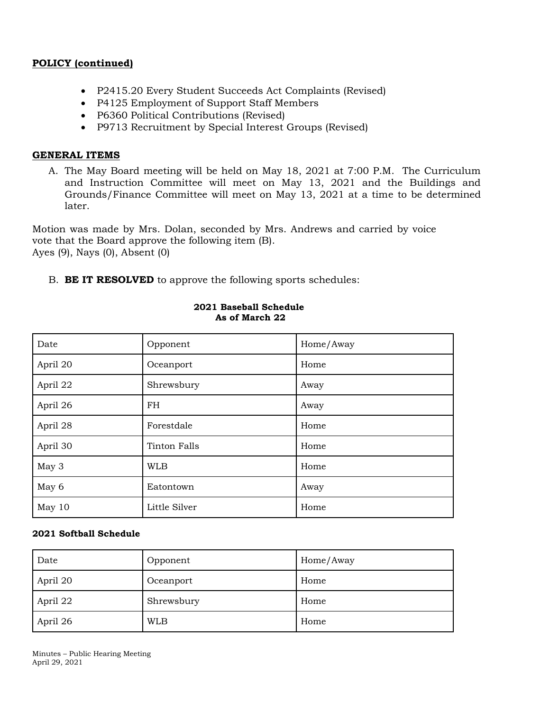# **POLICY (continued)**

- P2415.20 Every Student Succeeds Act Complaints (Revised)
- P4125 Employment of Support Staff Members
- P6360 Political Contributions (Revised)
- P9713 Recruitment by Special Interest Groups (Revised)

## **GENERAL ITEMS**

A. The May Board meeting will be held on May 18, 2021 at 7:00 P.M. The Curriculum and Instruction Committee will meet on May 13, 2021 and the Buildings and Grounds/Finance Committee will meet on May 13, 2021 at a time to be determined later.

Motion was made by Mrs. Dolan, seconded by Mrs. Andrews and carried by voice vote that the Board approve the following item (B). Ayes (9), Nays (0), Absent (0)

B. **BE IT RESOLVED** to approve the following sports schedules:

| Date     | Opponent            | Home/Away |
|----------|---------------------|-----------|
| April 20 | Oceanport           | Home      |
| April 22 | Shrewsbury          | Away      |
| April 26 | FH                  | Away      |
| April 28 | Forestdale          | Home      |
| April 30 | <b>Tinton Falls</b> | Home      |
| May 3    | <b>WLB</b>          | Home      |
| May 6    | Eatontown           | Away      |
| May 10   | Little Silver       | Home      |

#### **2021 Baseball Schedule As of March 22**

#### **2021 Softball Schedule**

| Date     | Opponent   | Home/Away |
|----------|------------|-----------|
| April 20 | Oceanport  | Home      |
| April 22 | Shrewsbury | Home      |
| April 26 | <b>WLB</b> | Home      |